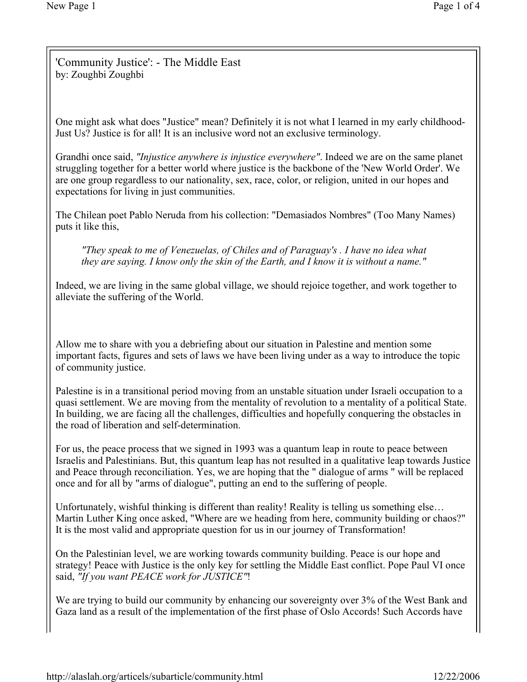'Community Justice': - The Middle East by: Zoughbi Zoughbi

One might ask what does "Justice" mean? Definitely it is not what I learned in my early childhood-Just Us? Justice is for all! It is an inclusive word not an exclusive terminology.

Grandhi once said, "Injustice anywhere is injustice everywhere". Indeed we are on the same planet struggling together for a better world where justice is the backbone of the 'New World Order'. We are one group regardless to our nationality, sex, race, color, or religion, united in our hopes and expectations for living in just communities.

The Chilean poet Pablo Neruda from his collection: "Demasiados Nombres" (Too Many Names) puts it like this,

"They speak to me of Venezuelas, of Chiles and of Paraguay's . I have no idea what they are saying. I know only the skin of the Earth, and I know it is without a name."

Indeed, we are living in the same global village, we should rejoice together, and work together to alleviate the suffering of the World.

Allow me to share with you a debriefing about our situation in Palestine and mention some important facts, figures and sets of laws we have been living under as a way to introduce the topic of community justice.

Palestine is in a transitional period moving from an unstable situation under Israeli occupation to a quasi settlement. We are moving from the mentality of revolution to a mentality of a political State. In building, we are facing all the challenges, difficulties and hopefully conquering the obstacles in the road of liberation and self-determination.

For us, the peace process that we signed in 1993 was a quantum leap in route to peace between Israelis and Palestinians. But, this quantum leap has not resulted in a qualitative leap towards Justice and Peace through reconciliation. Yes, we are hoping that the " dialogue of arms " will be replaced once and for all by "arms of dialogue", putting an end to the suffering of people.

Unfortunately, wishful thinking is different than reality! Reality is telling us something else… Martin Luther King once asked, "Where are we heading from here, community building or chaos?" It is the most valid and appropriate question for us in our journey of Transformation!

On the Palestinian level, we are working towards community building. Peace is our hope and strategy! Peace with Justice is the only key for settling the Middle East conflict. Pope Paul VI once said, "If you want PEACE work for JUSTICE"!

We are trying to build our community by enhancing our sovereignty over 3% of the West Bank and Gaza land as a result of the implementation of the first phase of Oslo Accords! Such Accords have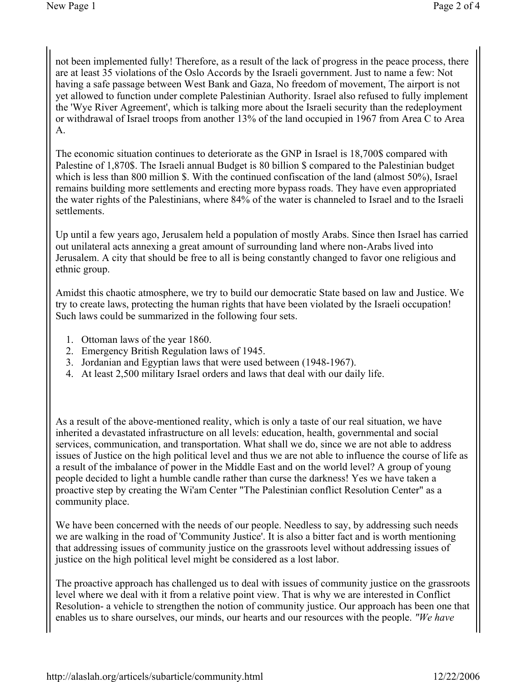not been implemented fully! Therefore, as a result of the lack of progress in the peace process, there are at least 35 violations of the Oslo Accords by the Israeli government. Just to name a few: Not having a safe passage between West Bank and Gaza, No freedom of movement, The airport is not yet allowed to function under complete Palestinian Authority. Israel also refused to fully implement the 'Wye River Agreement', which is talking more about the Israeli security than the redeployment or withdrawal of Israel troops from another 13% of the land occupied in 1967 from Area C to Area A.

The economic situation continues to deteriorate as the GNP in Israel is 18,700\$ compared with Palestine of 1,870\$. The Israeli annual Budget is 80 billion \$ compared to the Palestinian budget which is less than 800 million \$. With the continued confiscation of the land (almost 50%), Israel remains building more settlements and erecting more bypass roads. They have even appropriated the water rights of the Palestinians, where 84% of the water is channeled to Israel and to the Israeli settlements.

Up until a few years ago, Jerusalem held a population of mostly Arabs. Since then Israel has carried out unilateral acts annexing a great amount of surrounding land where non-Arabs lived into Jerusalem. A city that should be free to all is being constantly changed to favor one religious and ethnic group.

Amidst this chaotic atmosphere, we try to build our democratic State based on law and Justice. We try to create laws, protecting the human rights that have been violated by the Israeli occupation! Such laws could be summarized in the following four sets.

- 1. Ottoman laws of the year 1860.
- 2. Emergency British Regulation laws of 1945.
- 3. Jordanian and Egyptian laws that were used between (1948-1967).
- 4. At least 2,500 military Israel orders and laws that deal with our daily life.

As a result of the above-mentioned reality, which is only a taste of our real situation, we have inherited a devastated infrastructure on all levels: education, health, governmental and social services, communication, and transportation. What shall we do, since we are not able to address issues of Justice on the high political level and thus we are not able to influence the course of life as a result of the imbalance of power in the Middle East and on the world level? A group of young people decided to light a humble candle rather than curse the darkness! Yes we have taken a proactive step by creating the Wi'am Center "The Palestinian conflict Resolution Center" as a community place.

We have been concerned with the needs of our people. Needless to say, by addressing such needs we are walking in the road of 'Community Justice'. It is also a bitter fact and is worth mentioning that addressing issues of community justice on the grassroots level without addressing issues of justice on the high political level might be considered as a lost labor.

The proactive approach has challenged us to deal with issues of community justice on the grassroots level where we deal with it from a relative point view. That is why we are interested in Conflict Resolution- a vehicle to strengthen the notion of community justice. Our approach has been one that enables us to share ourselves, our minds, our hearts and our resources with the people. "We have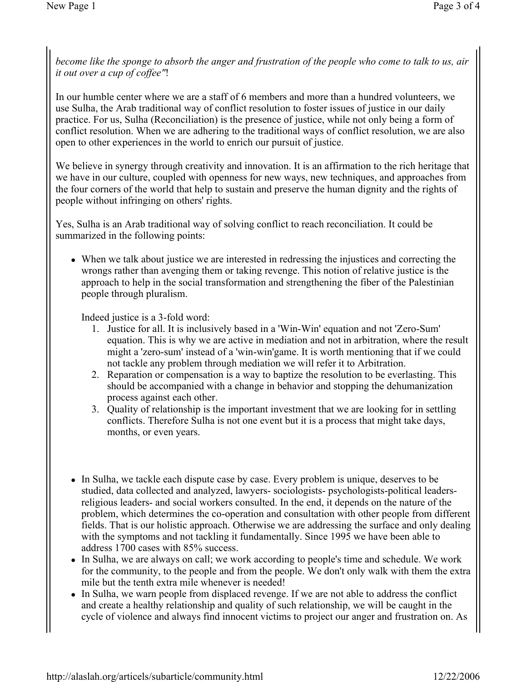become like the sponge to absorb the anger and frustration of the people who come to talk to us, air it out over a cup of coffee"!

In our humble center where we are a staff of 6 members and more than a hundred volunteers, we use Sulha, the Arab traditional way of conflict resolution to foster issues of justice in our daily practice. For us, Sulha (Reconciliation) is the presence of justice, while not only being a form of conflict resolution. When we are adhering to the traditional ways of conflict resolution, we are also open to other experiences in the world to enrich our pursuit of justice.

We believe in synergy through creativity and innovation. It is an affirmation to the rich heritage that we have in our culture, coupled with openness for new ways, new techniques, and approaches from the four corners of the world that help to sustain and preserve the human dignity and the rights of people without infringing on others' rights.

Yes, Sulha is an Arab traditional way of solving conflict to reach reconciliation. It could be summarized in the following points:

 When we talk about justice we are interested in redressing the injustices and correcting the wrongs rather than avenging them or taking revenge. This notion of relative justice is the approach to help in the social transformation and strengthening the fiber of the Palestinian people through pluralism.

Indeed justice is a 3-fold word:

- 1. Justice for all. It is inclusively based in a 'Win-Win' equation and not 'Zero-Sum' equation. This is why we are active in mediation and not in arbitration, where the result might a 'zero-sum' instead of a 'win-win'game. It is worth mentioning that if we could not tackle any problem through mediation we will refer it to Arbitration.
- 2. Reparation or compensation is a way to baptize the resolution to be everlasting. This should be accompanied with a change in behavior and stopping the dehumanization process against each other.
- 3. Quality of relationship is the important investment that we are looking for in settling conflicts. Therefore Sulha is not one event but it is a process that might take days, months, or even years.
- In Sulha, we tackle each dispute case by case. Every problem is unique, deserves to be studied, data collected and analyzed, lawyers- sociologists- psychologists-political leadersreligious leaders- and social workers consulted. In the end, it depends on the nature of the problem, which determines the co-operation and consultation with other people from different fields. That is our holistic approach. Otherwise we are addressing the surface and only dealing with the symptoms and not tackling it fundamentally. Since 1995 we have been able to address 1700 cases with 85% success.
- In Sulha, we are always on call; we work according to people's time and schedule. We work for the community, to the people and from the people. We don't only walk with them the extra mile but the tenth extra mile whenever is needed!
- In Sulha, we warn people from displaced revenge. If we are not able to address the conflict and create a healthy relationship and quality of such relationship, we will be caught in the cycle of violence and always find innocent victims to project our anger and frustration on. As